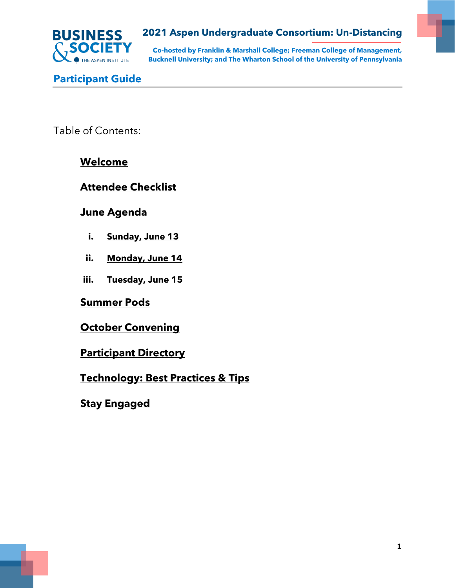

**Co-hosted by Franklin & Marshall College; Freeman College of Management, Bucknell University; and The Wharton School of the University of Pennsylvania**

**Participant Guide**

Table of Contents:

# **[Welcome](#page-1-0)**

# **[Attendee Checklist](#page-2-0)**

# **[June Agenda](#page-3-0)**

- **i. [Sunday, June 13](#page-3-1)**
- **ii. [Monday, June 14](#page-4-0)**
- **iii. [Tuesday, June 15](#page-7-0)**

**[Summer Pods](#page-9-0)**

**[October Convening](#page-9-1)**

**[Participant Directory](#page-9-2)**

**[Technology: Best Practices & Tips](#page-10-0)**

**[Stay Engaged](#page-10-1)**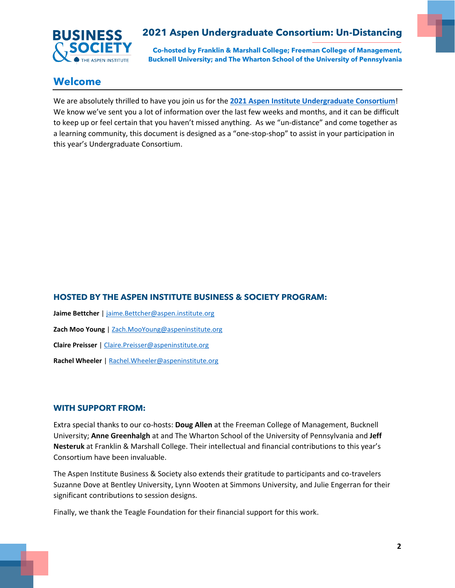

**Co-hosted by Franklin & Marshall College; Freeman College of Management, Bucknell University; and The Wharton School of the University of Pennsylvania**

## <span id="page-1-0"></span>**Welcome**

We are absolutely thrilled to have you join us for the **[2021 Aspen Institute Undergraduate Consortium](https://www.undergraduateconsortium.org/)**! We know we've sent you a lot of information over the last few weeks and months, and it can be difficult to keep up or feel certain that you haven't missed anything. As we "un-distance" and come together as a learning community, this document is designed as a "one-stop-shop" to assist in your participation in this year's Undergraduate Consortium.

### **HOSTED BY THE ASPEN INSTITUTE BUSINESS & SOCIETY PROGRAM:**

**Jaime Bettcher** | [jaime.Bettcher@aspen.institute.org](mailto:jaime.Bettcher@aspen.institute.org) **Zach Moo Young** [| Zach.MooYoung@aspeninstitute.org](mailto:Zach.MooYoung@aspeninstitute.org) **Claire Preisser** | [Claire.Preisser@aspeninstitute.org](mailto:Claire.Preisser@aspeninstitute.org) **Rachel Wheeler** [| Rachel.Wheeler@aspeninstitute.org](mailto:Rachel.Wheeler@aspeninstitute.org)

#### **WITH SUPPORT FROM:**

Extra special thanks to our co-hosts: **Doug Allen** at the Freeman College of Management, Bucknell University; **Anne Greenhalgh** at and The Wharton School of the University of Pennsylvania and **Jeff Nesteruk** at Franklin & Marshall College. Their intellectual and financial contributions to this year's Consortium have been invaluable.

The Aspen Institute Business & Society also extends their gratitude to participants and co-travelers Suzanne Dove at Bentley University, Lynn Wooten at Simmons University, and Julie Engerran for their significant contributions to session designs.

Finally, we thank the Teagle Foundation for their financial support for this work.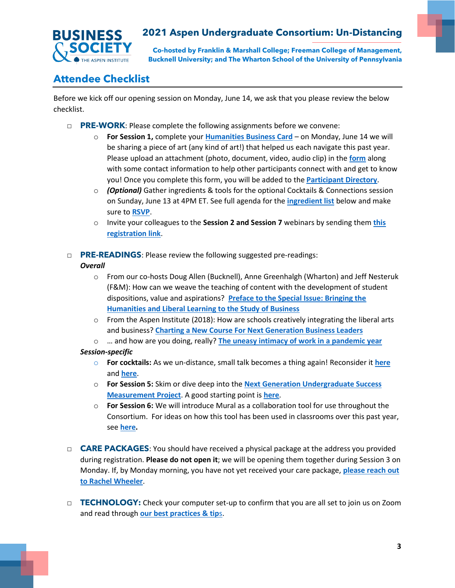

**Co-hosted by Franklin & Marshall College; Freeman College of Management, Bucknell University; and The Wharton School of the University of Pennsylvania**

# <span id="page-2-0"></span>**Attendee Checklist**

Before we kick off our opening session on Monday, June 14, we ask that you please review the below checklist.

- □ **PRE-WORK**: Please complete the following assignments before we convene:
	- o **For Session 1,** complete your **[Humanities Business Card](https://airtable.com/shrvz19EdKY8nK069)** on Monday, June 14 we will be sharing a piece of art (any kind of art!) that helped us each navigate this past year. Please upload an attachment (photo, document, video, audio clip) in the **[form](https://airtable.com/shrvz19EdKY8nK069)** along with some contact information to help other participants connect with and get to know you! Once you complete this form, you will be added to the **[Participant Directory](https://airtable.com/shrDGEKwnY7a57ZSk)**.
	- o *(Optional)* Gather ingredients & tools for the optional Cocktails & Connections session on Sunday, June 13 at 4PM ET. See full agenda for the **[ingredient list](#page-3-1)** [below](#page-3-2) and make sure to **[RSVP](https://www.surveymonkey.com/r/2021undergradoptional)**.
	- o Invite your colleagues to the **Session 2 and Session 7** webinars by sending them **[this](https://www.surveymonkey.com/r/2021undergradwebinar)  [registration link](https://www.surveymonkey.com/r/2021undergradwebinar)**.
- □ **PRE-READINGS**: Please review the following suggested pre-readings:

#### *Overall*

- o From our co-hosts Doug Allen (Bucknell), Anne Greenhalgh (Wharton) and Jeff Nesteruk (F&M): How can we weave the teaching of content with the development of student dispositions, value and aspirations? **[Preface to the Special Issue: Bringing the](https://link.springer.com/article/10.1007/s41463-020-00102-w)  [Humanities and Liberal Learning to the Study of Business](https://link.springer.com/article/10.1007/s41463-020-00102-w)**
- $\circ$  From the Aspen Institute (2018): How are schools creatively integrating the liberal arts and business? **[Charting a New Course For Next Generation Business Leaders](https://www.aspeninstitute.org/publications/charting-a-new-course-toolkit/)**
- o … and how are you doing, really? **[The uneasy intimacy of work in a pandemic year](https://www.vox.com/culture/22308547/pandemic-anniversary-labor-works-intimacy-how-to-do-nothing)**

#### *Session-specific*

- o **For cocktails:** As we un-distance, small talk becomes a thing again! Reconsider it **[here](https://thewalrus.ca/blah-blah-blah-the-lack-of-small-talk-is-breaking-our-brains/)** and **[here](https://www.vice.com/en/article/4adjpm/how-to-make-small-talk-after-weve-been-through-a-pandemic)**.
- o **For Session 5:** Skim or dive deep into the **[Next Generation Undergraduate Success](http://education.uci.edu/next-gen-ug-success-project.html)  [Measurement Project](http://education.uci.edu/next-gen-ug-success-project.html)**. A good starting point is **[here](https://www.postsecondaryvalue.org/wp-content/uploads/2021/05/PVC-Arum-FINAL.pdf)**.
- o **For Session 6:** We will introduce Mural as a collaboration tool for use throughout the Consortium. For ideas on how this tool has been used in classrooms over this past year, see **[here.](https://www.mural.co/blog/lessons-learned-from-a-year-of-virtual-class-collaboration)**
- □ **CARE PACKAGES**: You should have received a physical package at the address you provided during registration. **Please do not open it**; we will be opening them together during Session 3 on Monday. If, by Monday morning, you have not yet received your care package, **[please reach out](mailto:rachel.wheeler@aspeninstitute.org?subject=Undergraduate%20Consortium%20-%20Care%20Package)  [to Rachel Wheeler](mailto:rachel.wheeler@aspeninstitute.org?subject=Undergraduate%20Consortium%20-%20Care%20Package)**.
- □ **TECHNOLOGY:** Check your computer set-up to confirm that you are all set to join us on Zoom and read through **[our best practices & tip](#page-10-0)**s.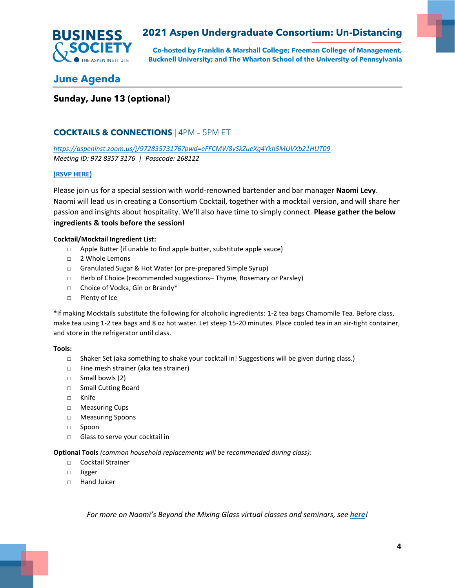

**Co-hosted by Franklin & Marshall College; Freeman College of Management, Bucknell University; and The Wharton School of the University of Pennsylvania**

## <span id="page-3-0"></span>**June Agenda**

### <span id="page-3-1"></span>**Sunday, June 13 (optional)**

#### **COCKTAILS & CONNECTIONS** | 4PM – 5PM ET

*<https://aspeninst.zoom.us/j/97283573176?pwd=eFFCMW8vSkZueXg4Ykh5MUVXb21HUT09> Meeting ID: 972 8357 3176 | Passcode: 268122*

#### **[\(RSVP HERE\)](https://www.surveymonkey.com/r/2021undergradoptional)**

Please join us for a special session with world-renowned bartender and bar manager **Naomi Levy**. Naomi will lead us in creating a Consortium Cocktail, together with a mocktail version, and will share her passion and insights about hospitality. We'll also have time to simply connect. **Please gather the below ingredients & tools before the session!**

#### <span id="page-3-2"></span>**Cocktail/Mocktail Ingredient List:**

- □ Apple Butter (if unable to find apple butter, substitute apple sauce)
- □ 2 Whole Lemons
- □ Granulated Sugar & Hot Water (or pre-prepared Simple Syrup)
- □ Herb of Choice (recommended suggestions–Thyme, Rosemary or Parsley)
- □ Choice of Vodka, Gin or Brandy\*
- □ Plenty of Ice

\*If making Mocktails substitute the following for alcoholic ingredients: 1-2 tea bags Chamomile Tea. Before class, make tea using 1-2 tea bags and 8 oz hot water. Let steep 15-20 minutes. Place cooled tea in an air-tight container, and store in the refrigerator until class.

#### **Tools:**

- □ Shaker Set (aka something to shake your cocktail in! Suggestions will be given during class.)
- □ Fine mesh strainer (aka tea strainer)
- □ Small bowls (2)
- □ Small Cutting Board
- □ Knife
- □ Measuring Cups
- □ Measuring Spoons
- □ Spoon
- □ Glass to serve your cocktail in

#### **Optional Tools** *(common household replacements will be recommended during class):*

- □ Cocktail Strainer
- □ Jigger
- □ Hand Juicer

*For more on Naomi's Beyond the Mixing Glass virtual classes and seminars, see [here](http://www.beyondthemixingglass.com/)!*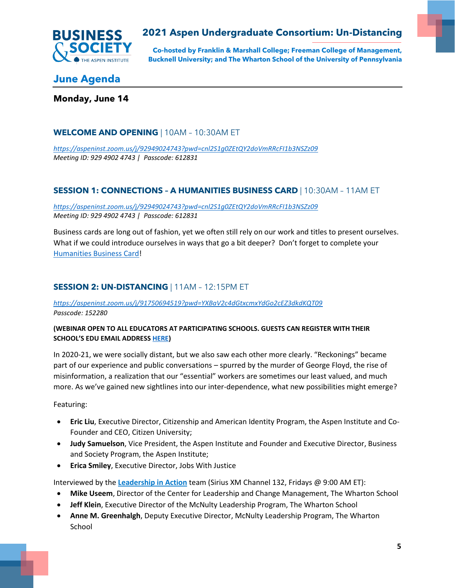

**Co-hosted by Franklin & Marshall College; Freeman College of Management, Bucknell University; and The Wharton School of the University of Pennsylvania**

## **June Agenda**

<span id="page-4-0"></span>**Monday, June 14**

### **WELCOME AND OPENING** | 10AM – 10:30AM ET

*<https://aspeninst.zoom.us/j/92949024743?pwd=cnl2S1g0ZEtQY2doVmRRcFI1b3NSZz09> Meeting ID: 929 4902 4743 | Passcode: 612831*

### **SESSION 1: CONNECTIONS – A HUMANITIES BUSINESS CARD** | 10:30AM – 11AM ET

*<https://aspeninst.zoom.us/j/92949024743?pwd=cnl2S1g0ZEtQY2doVmRRcFI1b3NSZz09> Meeting ID: 929 4902 4743 | Passcode: 612831*

Business cards are long out of fashion, yet we often still rely on our work and titles to present ourselves. What if we could introduce ourselves in ways that go a bit deeper? Don't forget to complete your [Humanities Business Card!](https://airtable.com/shrvz19EdKY8nK069)

#### **SESSION 2: UN-DISTANCING** | 11AM – 12:15PM ET

#### *<https://aspeninst.zoom.us/j/91750694519?pwd=YXBaV2c4dGtxcmxYdGo2cEZ3dkdKQT09> Passcode: 152280*

#### **(WEBINAR OPEN TO ALL EDUCATORS AT PARTICIPATING SCHOOLS. GUESTS CAN REGISTER WITH THEIR SCHOOL'S EDU EMAIL ADDRESS [HERE\)](https://www.surveymonkey.com/r/2021undergradwebinar)**

In 2020-21, we were socially distant, but we also saw each other more clearly. "Reckonings" became part of our experience and public conversations – spurred by the murder of George Floyd, the rise of misinformation, a realization that our "essential" workers are sometimes our least valued, and much more. As we've gained new sightlines into our inter-dependence, what new possibilities might emerge?

Featuring:

- **Eric Liu**, Executive Director, Citizenship and American Identity Program, the Aspen Institute and Co-Founder and CEO, Citizen University;
- **Judy Samuelson**, Vice President, the Aspen Institute and Founder and Executive Director, Business and Society Program, the Aspen Institute;
- **Erica Smiley**, Executive Director, Jobs With Justice

Interviewed by the **[Leadership in Action](https://leadership.wharton.upenn.edu/leadership-action-siriusxm-channel-132/)** team (Sirius XM Channel 132, Fridays @ 9:00 AM ET):

- **Mike Useem**, Director of the Center for Leadership and Change Management, The Wharton School
- **Jeff Klein**, Executive Director of the McNulty Leadership Program, The Wharton School
- **Anne M. Greenhalgh**, Deputy Executive Director, McNulty Leadership Program, The Wharton School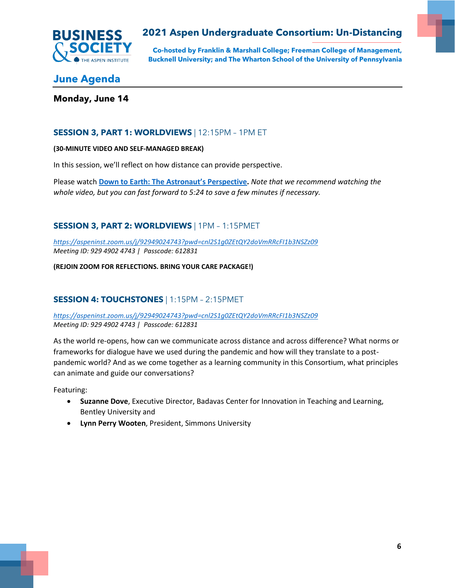

**Co-hosted by Franklin & Marshall College; Freeman College of Management, Bucknell University; and The Wharton School of the University of Pennsylvania**

# **June Agenda**

#### **Monday, June 14**

#### **SESSION 3, PART 1: WORLDVIEWS** | 12:15PM – 1PM ET

#### **(30-MINUTE VIDEO AND SELF-MANAGED BREAK)**

In this session, we'll reflect on how distance can provide perspective.

Please watch **[Down to Earth: The Astronaut's Perspective](https://www.youtube.com/watch?v=DIkqs9_FK28&t=1s).** *Note that we recommend watching the whole video, but you can fast forward to 5:24 to save a few minutes if necessary.*

### **SESSION 3, PART 2: WORLDVIEWS** | 1PM – 1:15PMET

*<https://aspeninst.zoom.us/j/92949024743?pwd=cnl2S1g0ZEtQY2doVmRRcFI1b3NSZz09> Meeting ID: 929 4902 4743 | Passcode: 612831*

**(REJOIN ZOOM FOR REFLECTIONS. BRING YOUR CARE PACKAGE!)**

#### **SESSION 4: TOUCHSTONES** | 1:15PM – 2:15PMET

*<https://aspeninst.zoom.us/j/92949024743?pwd=cnl2S1g0ZEtQY2doVmRRcFI1b3NSZz09> Meeting ID: 929 4902 4743 | Passcode: 612831*

As the world re-opens, how can we communicate across distance and across difference? What norms or frameworks for dialogue have we used during the pandemic and how will they translate to a postpandemic world? And as we come together as a learning community in this Consortium, what principles can animate and guide our conversations?

Featuring:

- **Suzanne Dove**, Executive Director, Badavas Center for Innovation in Teaching and Learning, Bentley University and
- **Lynn Perry Wooten**, President, Simmons University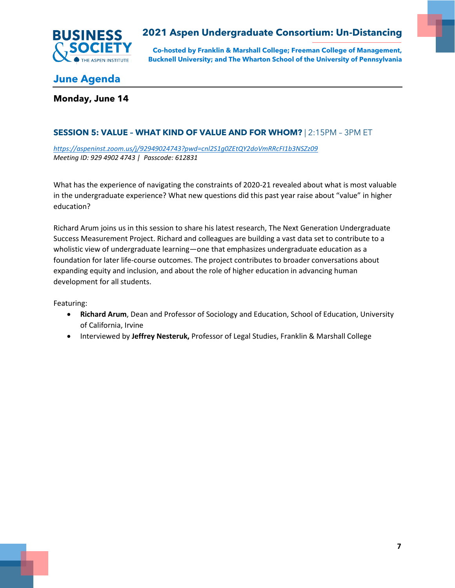

**Co-hosted by Franklin & Marshall College; Freeman College of Management, Bucknell University; and The Wharton School of the University of Pennsylvania**

# **June Agenda**

#### **Monday, June 14**

### **SESSION 5: VALUE – WHAT KIND OF VALUE AND FOR WHOM?** | 2:15PM – 3PM ET

*<https://aspeninst.zoom.us/j/92949024743?pwd=cnl2S1g0ZEtQY2doVmRRcFI1b3NSZz09> Meeting ID: 929 4902 4743 | Passcode: 612831*

What has the experience of navigating the constraints of 2020-21 revealed about what is most valuable in the undergraduate experience? What new questions did this past year raise about "value" in higher education? 

Richard Arum joins us in this session to share his latest research, The Next Generation Undergraduate Success Measurement Project. Richard and colleagues are building a vast data set to contribute to a wholistic view of undergraduate learning—one that emphasizes undergraduate education as a foundation for later life-course outcomes. The project contributes to broader conversations about expanding equity and inclusion, and about the role of higher education in advancing human development for all students.

Featuring:

- **Richard Arum**, Dean and Professor of Sociology and Education, School of Education, University of California, Irvine
- Interviewed by **Jeffrey Nesteruk,** Professor of Legal Studies, Franklin & Marshall College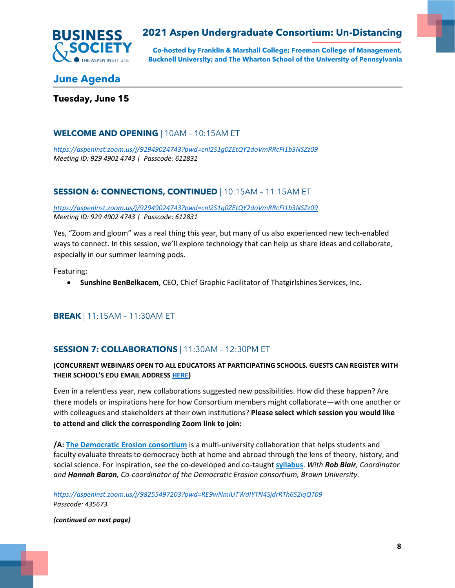

**Co-hosted by Franklin & Marshall College; Freeman College of Management, Bucknell University; and The Wharton School of the University of Pennsylvania**

## **June Agenda**

<span id="page-7-0"></span>**Tuesday, June 15**

#### **WELCOME AND OPENING** | 10AM – 10:15AM ET

*<https://aspeninst.zoom.us/j/92949024743?pwd=cnl2S1g0ZEtQY2doVmRRcFI1b3NSZz09> Meeting ID: 929 4902 4743 | Passcode: 612831*

### **SESSION 6: CONNECTIONS, CONTINUED** | 10:15AM – 11:15AM ET

*<https://aspeninst.zoom.us/j/92949024743?pwd=cnl2S1g0ZEtQY2doVmRRcFI1b3NSZz09> Meeting ID: 929 4902 4743 | Passcode: 612831*

Yes, "Zoom and gloom" was a real thing this year, but many of us also experienced new tech-enabled ways to connect. In this session, we'll explore technology that can help us share ideas and collaborate, especially in our summer learning pods.

Featuring:

• **Sunshine BenBelkacem**, CEO, Chief Graphic Facilitator of Thatgirlshines Services, Inc.

### **BREAK** | 11:15AM – 11:30AM ET

#### **SESSION 7: COLLABORATIONS** | 11:30AM – 12:30PM ET

#### **(CONCURRENT WEBINARS OPEN TO ALL EDUCATORS AT PARTICIPATING SCHOOLS. GUESTS CAN REGISTER WITH THEIR SCHOOL'S EDU EMAIL ADDRESS [HERE\)](https://www.surveymonkey.com/r/2021undergradwebinar)**

Even in a relentless year, new collaborations suggested new possibilities. How did these happen? Are there models or inspirations here for how Consortium members might collaborate—with one another or with colleagues and stakeholders at their own institutions? **Please select which session you would like to attend and click the corresponding Zoom link to join:** 

**/A: [The Democratic Erosion consortium](https://www.democratic-erosion.com/)** is a multi-university collaboration that helps students and faculty evaluate threats to democracy both at home and abroad through the lens of theory, history, and social science. For inspiration, see the co-developed and co-taught **[syllabus](https://www.democratic-erosion.com/syllabus/)**. *With Rob Blair, Coordinator and Hannah Baron, Co-coordinator of the Democratic Erosion consortium, Brown University.*

*<https://aspeninst.zoom.us/j/98255497203?pwd=RE9wNmlUTWdIYTN4SjdrRTh6S2lqQT09> Passcode: 435673*

*(continued on next page)*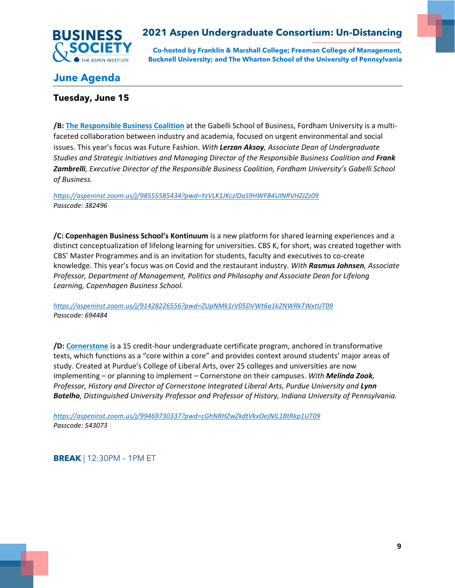

**Co-hosted by Franklin & Marshall College; Freeman College of Management, Bucknell University; and The Wharton School of the University of Pennsylvania**

# **June Agenda**

### **Tuesday, June 15**

**/B: [The Responsible Business Coalition](https://www.fordham.edu/info/30296/responsible_business_coalition)** at the Gabelli School of Business, Fordham University is a multifaceted collaboration between industry and academia, focused on urgent environmental and social issues. This year's focus was Future Fashion. *With Lerzan Aksoy, Associate Dean of Undergraduate Studies and Strategic Initiatives and Managing Director of the Responsible Business Coalition and Frank Zambrelli, Executive Director of the Responsible Business Coalition, Fordham University's Gabelli School of Business.*

*<https://aspeninst.zoom.us/j/98555585434?pwd=YzVLK1JKczlDaS9HWFB4UlNRVHZJZz09> Passcode: 382496*

**/C: Copenhagen Business School's Kontinuum** is a new platform for shared learning experiences and a distinct conceptualization of lifelong learning for universities. CBS K, for short, was created together with CBS' Master Programmes and is an invitation for students, faculty and executives to co-create knowledge. This year's focus was on Covid and the restaurant industry. *With Rasmus Johnsen, Associate Professor, Department of Management, Politics and Philosophy and Associate Dean for Lifelong Learning, Copenhagen Business School.*

*<https://aspeninst.zoom.us/j/91428226556?pwd=ZUpNMk1rV05DVWt6a1k2NWRkTWxtUT09> Passcode: 694484*

**/D: [Cornerstone](https://cla.purdue.edu/academic/cornerstone/index.html)** is a 15 credit-hour undergraduate certificate program, anchored in transformative texts, which functions as a "core within a core" and provides context around students' major areas of study. Created at Purdue's College of Liberal Arts, over 25 colleges and universities are now implementing – or planning to implement – Cornerstone on their campuses. *With Melinda Zook, Professor, History and Director of Cornerstone Integrated Liberal Arts, Purdue University and Lynn Botelho, Distinguished University Professor and Professor of History, Indiana University of Pennsylvania.*

*<https://aspeninst.zoom.us/j/99469730337?pwd=cGhNRHZwZkdtVkxOejNIL1BtRkp1UT09> Passcode: 543073*

**BREAK** | 12:30PM – 1PM ET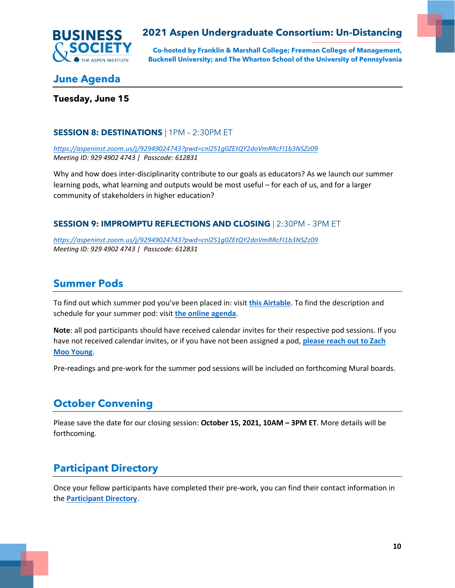

**Co-hosted by Franklin & Marshall College; Freeman College of Management, Bucknell University; and The Wharton School of the University of Pennsylvania**

## **June Agenda**

### **Tuesday, June 15**

#### **SESSION 8: DESTINATIONS** | 1PM – 2:30PM ET

*<https://aspeninst.zoom.us/j/92949024743?pwd=cnl2S1g0ZEtQY2doVmRRcFI1b3NSZz09> Meeting ID: 929 4902 4743 | Passcode: 612831*

Why and how does inter-disciplinarity contribute to our goals as educators? As we launch our summer learning pods, what learning and outputs would be most useful – for each of us, and for a larger community of stakeholders in higher education?

#### **SESSION 9: IMPROMPTU REFLECTIONS AND CLOSING** | 2:30PM – 3PM ET

*<https://aspeninst.zoom.us/j/92949024743?pwd=cnl2S1g0ZEtQY2doVmRRcFI1b3NSZz09> Meeting ID: 929 4902 4743 | Passcode: 612831*

# <span id="page-9-0"></span>**Summer Pods**

To find out which summer pod you've been placed in: visit **[this Airtable](https://airtable.com/shrCGgrXGmFm50ggj/tbl8NMdcFEK78gVGw)**. To find the description and schedule for your summer pod: visit **[the online agenda](https://www.undergraduateconsortium.org/pods)**.

**Note**: all pod participants should have received calendar invites for their respective pod sessions. If you have not received calendar invites, or if you have not been assigned a pod, **[please reach out to Zach](mailto:Zach.MooYoung@AspenInstitute.org?subject=Summer%20Pods)  [Moo Young](mailto:Zach.MooYoung@AspenInstitute.org?subject=Summer%20Pods)**.

Pre-readings and pre-work for the summer pod sessions will be included on forthcoming Mural boards.

# <span id="page-9-1"></span>**October Convening**

Please save the date for our closing session: **October 15, 2021, 10AM – 3PM ET**. More details will be forthcoming.

## <span id="page-9-2"></span>**Participant Directory**

Once your fellow participants have completed their pre-work, you can find their contact information in the **[Participant Directory](https://airtable.com/shrDGEKwnY7a57ZSk)**.